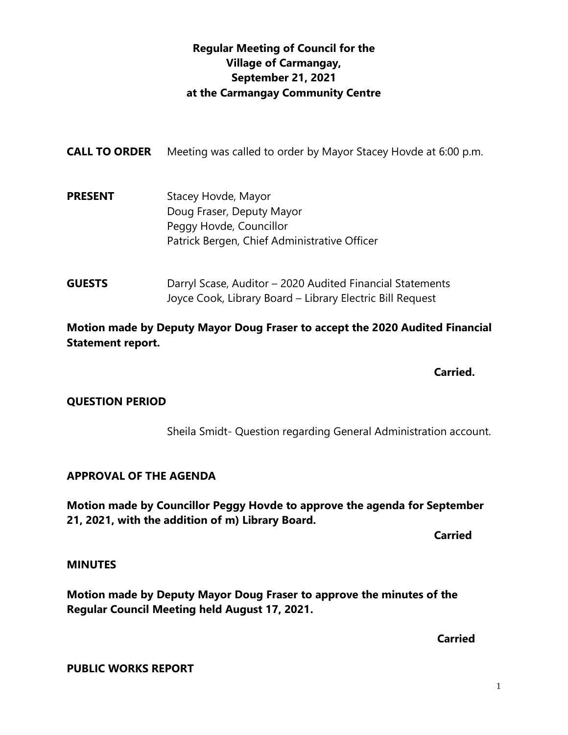## **Regular Meeting of Council for the Village of Carmangay, September 21, 2021 at the Carmangay Community Centre**

| <b>CALL TO ORDER</b> | Meeting was called to order by Mayor Stacey Hovde at 6:00 p.m.                                                              |
|----------------------|-----------------------------------------------------------------------------------------------------------------------------|
| <b>PRESENT</b>       | Stacey Hovde, Mayor<br>Doug Fraser, Deputy Mayor<br>Peggy Hovde, Councillor<br>Patrick Bergen, Chief Administrative Officer |
| <b>GUESTS</b>        | Darryl Scase, Auditor – 2020 Audited Financial Statements<br>Joyce Cook, Library Board - Library Electric Bill Request      |

**Motion made by Deputy Mayor Doug Fraser to accept the 2020 Audited Financial Statement report.**

**Carried.**

#### **QUESTION PERIOD**

Sheila Smidt- Question regarding General Administration account.

#### **APPROVAL OF THE AGENDA**

**Motion made by Councillor Peggy Hovde to approve the agenda for September 21, 2021, with the addition of m) Library Board.**

**Carried** 

#### **MINUTES**

**Motion made by Deputy Mayor Doug Fraser to approve the minutes of the Regular Council Meeting held August 17, 2021.**

**Carried**

**PUBLIC WORKS REPORT**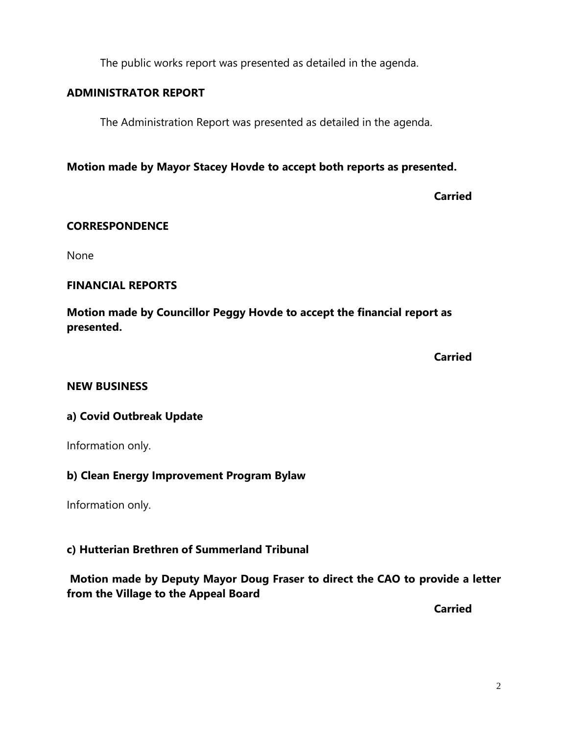The public works report was presented as detailed in the agenda.

### **ADMINISTRATOR REPORT**

The Administration Report was presented as detailed in the agenda.

**Motion made by Mayor Stacey Hovde to accept both reports as presented.**

**Carried**

### **CORRESPONDENCE**

None

### **FINANCIAL REPORTS**

**Motion made by Councillor Peggy Hovde to accept the financial report as presented.**

**Carried**

#### **NEW BUSINESS**

### **a) Covid Outbreak Update**

Information only.

### **b) Clean Energy Improvement Program Bylaw**

Information only.

### **c) Hutterian Brethren of Summerland Tribunal**

### **Motion made by Deputy Mayor Doug Fraser to direct the CAO to provide a letter from the Village to the Appeal Board**

**Carried**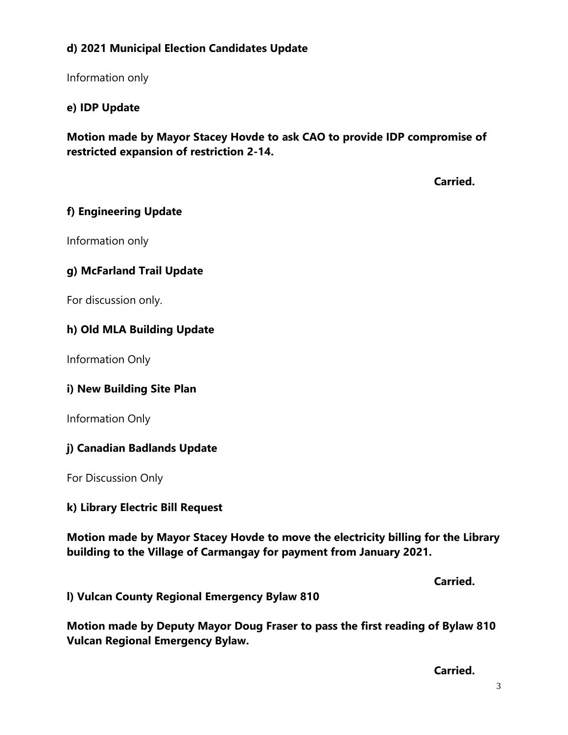## **d) 2021 Municipal Election Candidates Update**

Information only

## **e) IDP Update**

**Motion made by Mayor Stacey Hovde to ask CAO to provide IDP compromise of restricted expansion of restriction 2-14.**

**Carried.**

### **f) Engineering Update**

Information only

## **g) McFarland Trail Update**

For discussion only.

### **h) Old MLA Building Update**

Information Only

### **i) New Building Site Plan**

Information Only

### **j) Canadian Badlands Update**

For Discussion Only

### **k) Library Electric Bill Request**

**Motion made by Mayor Stacey Hovde to move the electricity billing for the Library building to the Village of Carmangay for payment from January 2021.**

**Carried.**

**l) Vulcan County Regional Emergency Bylaw 810**

**Motion made by Deputy Mayor Doug Fraser to pass the first reading of Bylaw 810 Vulcan Regional Emergency Bylaw.**

**Carried.**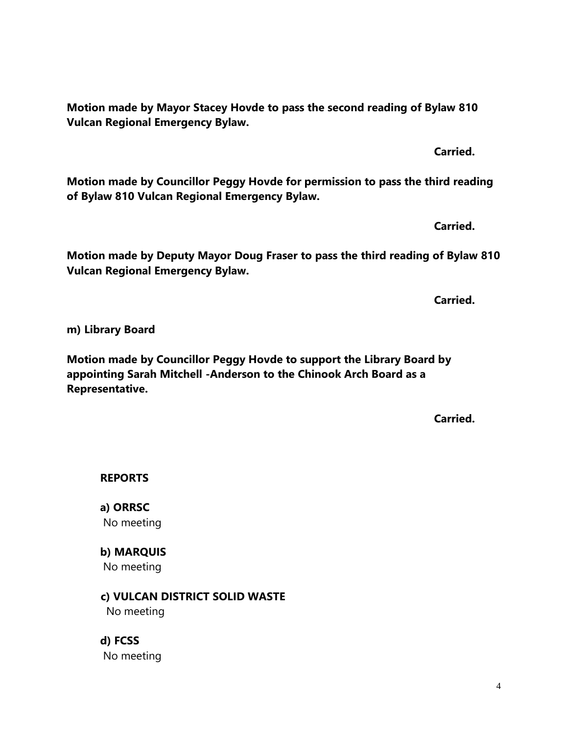**Motion made by Mayor Stacey Hovde to pass the second reading of Bylaw 810 Vulcan Regional Emergency Bylaw.**

**Motion made by Councillor Peggy Hovde for permission to pass the third reading of Bylaw 810 Vulcan Regional Emergency Bylaw.**

**Motion made by Deputy Mayor Doug Fraser to pass the third reading of Bylaw 810** 

**Vulcan Regional Emergency Bylaw.**

**Motion made by Councillor Peggy Hovde to support the Library Board by appointing Sarah Mitchell -Anderson to the Chinook Arch Board as a** 

**Representative.**

**REPORTS**

**m) Library Board**

**a) ORRSC** No meeting

**b) MARQUIS** No meeting

 **c) VULCAN DISTRICT SOLID WASTE**  No meeting

**d) FCSS**  No meeting **Carried.**

**Carried.**

**Carried.**

**Carried.**